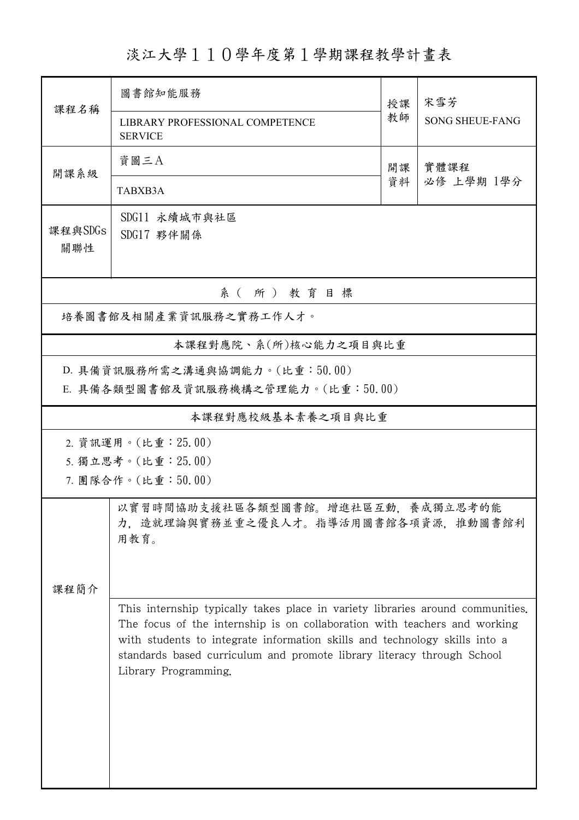淡江大學110學年度第1學期課程教學計畫表

|                                                                      | 圖書館知能服務                                                                                                                                                                                                                                                                                                                                     | 授課 | 宋雪芳                    |  |  |  |  |
|----------------------------------------------------------------------|---------------------------------------------------------------------------------------------------------------------------------------------------------------------------------------------------------------------------------------------------------------------------------------------------------------------------------------------|----|------------------------|--|--|--|--|
| 課程名稱                                                                 | LIBRARY PROFESSIONAL COMPETENCE<br><b>SERVICE</b>                                                                                                                                                                                                                                                                                           | 教師 | <b>SONG SHEUE-FANG</b> |  |  |  |  |
| 開課系級                                                                 | 資圖三A                                                                                                                                                                                                                                                                                                                                        | 開課 | 實體課程                   |  |  |  |  |
|                                                                      | TABXB3A                                                                                                                                                                                                                                                                                                                                     | 資料 | 必修 上學期 1學分             |  |  |  |  |
| 課程與SDGs<br>關聯性                                                       | SDG11 永續城市與社區<br>SDG17 夥伴關係                                                                                                                                                                                                                                                                                                                 |    |                        |  |  |  |  |
| 系(所)教育目標                                                             |                                                                                                                                                                                                                                                                                                                                             |    |                        |  |  |  |  |
| 培養圖書館及相關產業資訊服務之實務工作人才。                                               |                                                                                                                                                                                                                                                                                                                                             |    |                        |  |  |  |  |
|                                                                      | 本課程對應院、系(所)核心能力之項目與比重                                                                                                                                                                                                                                                                                                                       |    |                        |  |  |  |  |
| D. 具備資訊服務所需之溝通與協調能力。(比重:50.00)<br>E. 具備各類型圖書館及資訊服務機構之管理能力。(比重:50.00) |                                                                                                                                                                                                                                                                                                                                             |    |                        |  |  |  |  |
| 本課程對應校級基本素養之項目與比重                                                    |                                                                                                                                                                                                                                                                                                                                             |    |                        |  |  |  |  |
| 2. 資訊運用。(比重: 25.00)                                                  |                                                                                                                                                                                                                                                                                                                                             |    |                        |  |  |  |  |
| 5. 獨立思考。(比重: 25.00)<br>7. 團隊合作。(比重:50.00)                            |                                                                                                                                                                                                                                                                                                                                             |    |                        |  |  |  |  |
| 課程簡介                                                                 | 養成獨立思考的能<br>力,造就理論與實務並重之優良人才。指導活用圖書館各項資源,推動圖書館利                                                                                                                                                                                                                                                                                             |    |                        |  |  |  |  |
|                                                                      | This internship typically takes place in variety libraries around communities.<br>The focus of the internship is on collaboration with teachers and working<br>with students to integrate information skills and technology skills into a<br>standards based curriculum and promote library literacy through School<br>Library Programming. |    |                        |  |  |  |  |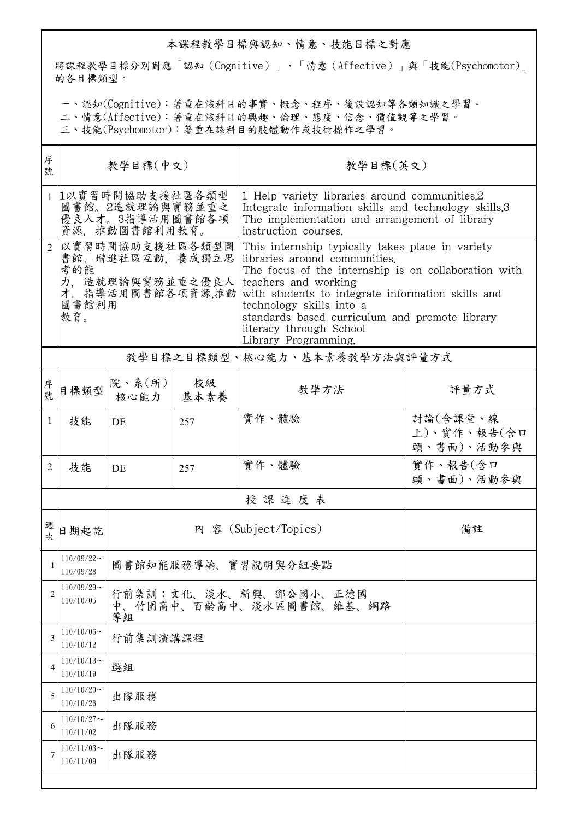## 本課程教學目標與認知、情意、技能目標之對應

將課程教學目標分別對應「認知(Cognitive)」、「情意(Affective)」與「技能(Psychomotor)」 的各目標類型。

一、認知(Cognitive):著重在該科目的事實、概念、程序、後設認知等各類知識之學習。

二、情意(Affective):著重在該科目的興趣、倫理、態度、信念、價值觀等之學習。

三、技能(Psychomotor):著重在該科目的肢體動作或技術操作之學習。

| 序<br>號         | 教學目標(中文)                                                                                         |                                                          |            | 教學目標(英文)                                                                                                                                                                                                                                                                                                                                                |                                       |  |  |  |
|----------------|--------------------------------------------------------------------------------------------------|----------------------------------------------------------|------------|---------------------------------------------------------------------------------------------------------------------------------------------------------------------------------------------------------------------------------------------------------------------------------------------------------------------------------------------------------|---------------------------------------|--|--|--|
|                | 1以實習時間協助支援社區各類型<br>圖書館。2造就理論與實務並重之<br>優良人才。3指導活用圖書館各項<br>資源,推動圖書館利用教育。                           |                                                          |            | 1 Help variety libraries around communities.2<br>Integrate information skills and technology skills.3<br>The implementation and arrangement of library<br>instruction courses.                                                                                                                                                                          |                                       |  |  |  |
| $\overline{2}$ | 以實習時間協助支援社區各類型圖<br>書館。增進社區互動,養成獨立思<br>考的能<br>力、造就理論與實務並重之優良人<br>才。指導活用圖書館各項資源,推動<br>圖書館利用<br>教育。 |                                                          |            | This internship typically takes place in variety<br>libraries around communities.<br>The focus of the internship is on collaboration with<br>teachers and working<br>with students to integrate information skills and<br>technology skills into a<br>standards based curriculum and promote library<br>literacy through School<br>Library Programming. |                                       |  |  |  |
|                | 教學目標之目標類型、核心能力、基本素養教學方法與評量方式                                                                     |                                                          |            |                                                                                                                                                                                                                                                                                                                                                         |                                       |  |  |  |
| 序號             | 目標類型                                                                                             | 院、系 $(\kappa)$<br>核心能力                                   | 校級<br>基本素養 | 教學方法                                                                                                                                                                                                                                                                                                                                                    | 評量方式                                  |  |  |  |
| 1              | 技能                                                                                               | DE                                                       | 257        | 實作、體驗                                                                                                                                                                                                                                                                                                                                                   | 討論(含課堂、線<br>上)、實作、報告(含口<br>頭、書面)、活動參與 |  |  |  |
| 2              | 技能                                                                                               | DE                                                       | 257        | 實作、體驗                                                                                                                                                                                                                                                                                                                                                   | 實作、報告(含口<br>頭、書面)、活動參與                |  |  |  |
|                | 授課進度表                                                                                            |                                                          |            |                                                                                                                                                                                                                                                                                                                                                         |                                       |  |  |  |
| 週次             | 日期起訖                                                                                             |                                                          |            | 內 容 (Subject/Topics)                                                                                                                                                                                                                                                                                                                                    | 備註                                    |  |  |  |
|                | $110/09/22$ ~<br>110/09/28                                                                       | 圖書館知能服務導論、實習說明與分組要點                                      |            |                                                                                                                                                                                                                                                                                                                                                         |                                       |  |  |  |
| 2              | $110/09/29$ ~<br>110/10/05                                                                       | 行前集訓:文化、淡水、新興、鄧公國小、正德國<br>中、竹圍高中、百齡高中、淡水區圖書館、維基、網路<br>等組 |            |                                                                                                                                                                                                                                                                                                                                                         |                                       |  |  |  |
| 3              | $110/10/06$ ~<br>110/10/12                                                                       | 行前集訓演講課程                                                 |            |                                                                                                                                                                                                                                                                                                                                                         |                                       |  |  |  |
| 4              | $110/10/13$ ~<br>110/10/19                                                                       | 選組                                                       |            |                                                                                                                                                                                                                                                                                                                                                         |                                       |  |  |  |
| 5              | $110/10/20$ ~<br>110/10/26                                                                       | 出隊服務                                                     |            |                                                                                                                                                                                                                                                                                                                                                         |                                       |  |  |  |
| 6              | $110/10/27$ ~<br>110/11/02                                                                       | 出隊服務                                                     |            |                                                                                                                                                                                                                                                                                                                                                         |                                       |  |  |  |
| 7              | $110/11/03$ ~<br>110/11/09                                                                       | 出隊服務                                                     |            |                                                                                                                                                                                                                                                                                                                                                         |                                       |  |  |  |
|                |                                                                                                  |                                                          |            |                                                                                                                                                                                                                                                                                                                                                         |                                       |  |  |  |